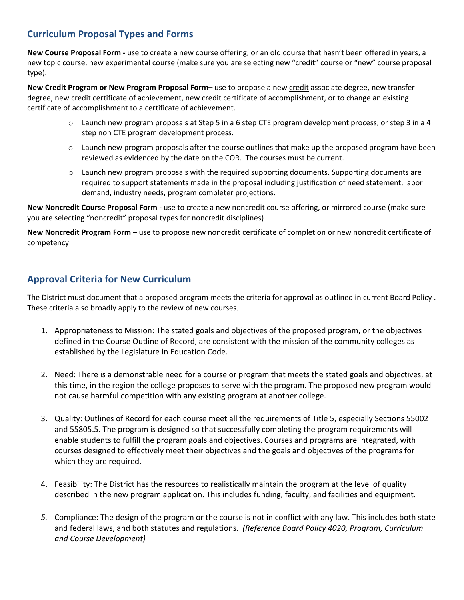## **Curriculum Proposal Types and Forms**

**New Course Proposal Form ‐** use to create a new course offering, or an old course that hasn't been offered in years, a new topic course, new experimental course (make sure you are selecting new "credit" course or "new" course proposal type).

**New Credit Program or New Program Proposal Form–** use to propose a new credit associate degree, new transfer degree, new credit certificate of achievement, new credit certificate of accomplishment, or to change an existing certificate of accomplishment to a certificate of achievement.

- o Launch new program proposals at Step 5 in a 6 step CTE program development process, or step 3 in a 4 step non CTE program development process.
- $\circ$  Launch new program proposals after the course outlines that make up the proposed program have been reviewed as evidenced by the date on the COR. The courses must be current.
- $\circ$  Launch new program proposals with the required supporting documents. Supporting documents are required to support statements made in the proposal including justification of need statement, labor demand, industry needs, program completer projections.

**New Noncredit Course Proposal Form ‐** use to create a new noncredit course offering, or mirrored course (make sure you are selecting "noncredit" proposal types for noncredit disciplines)

**New Noncredit Program Form –** use to propose new noncredit certificate of completion or new noncredit certificate of competency

## **Approval Criteria for New Curriculum**

The District must document that a proposed program meets the criteria for approval as outlined in current Board Policy . These criteria also broadly apply to the review of new courses.

- 1. Appropriateness to Mission: The stated goals and objectives of the proposed program, or the objectives defined in the Course Outline of Record, are consistent with the mission of the community colleges as established by the Legislature in Education Code.
- 2. Need: There is a demonstrable need for a course or program that meets the stated goals and objectives, at this time, in the region the college proposes to serve with the program. The proposed new program would not cause harmful competition with any existing program at another college.
- 3. Quality: Outlines of Record for each course meet all the requirements of Title 5, especially Sections 55002 and 55805.5. The program is designed so that successfully completing the program requirements will enable students to fulfill the program goals and objectives. Courses and programs are integrated, with courses designed to effectively meet their objectives and the goals and objectives of the programs for which they are required.
- 4. Feasibility: The District has the resources to realistically maintain the program at the level of quality described in the new program application. This includes funding, faculty, and facilities and equipment.
- *5.* Compliance: The design of the program or the course is not in conflict with any law. This includes both state and federal laws, and both statutes and regulations. *(Reference Board Policy 4020, Program, Curriculum and Course Development)*